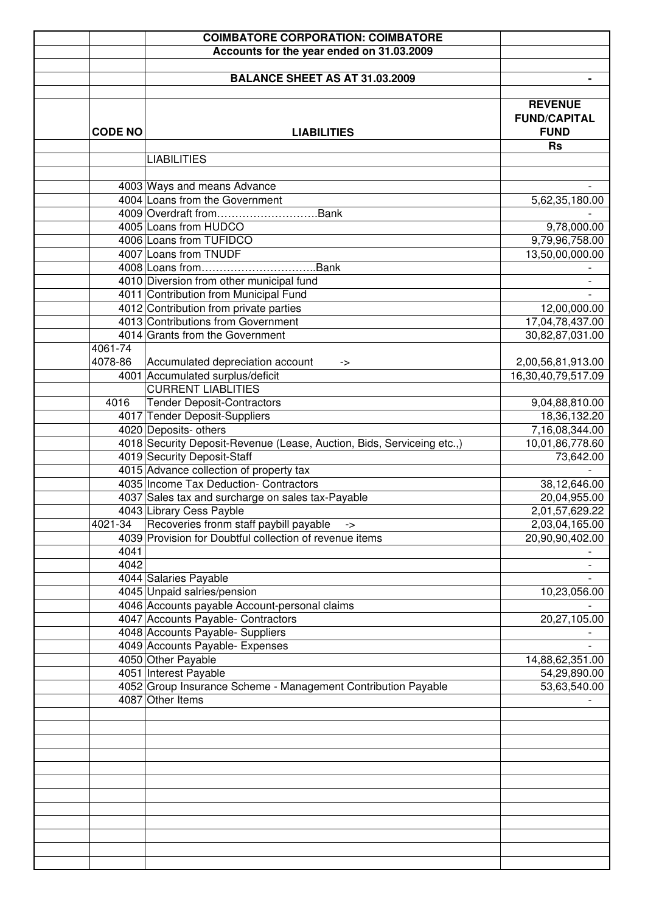|                | <b>COIMBATORE CORPORATION: COIMBATORE</b>                              |                                                      |
|----------------|------------------------------------------------------------------------|------------------------------------------------------|
|                | Accounts for the year ended on 31.03.2009                              |                                                      |
|                |                                                                        |                                                      |
|                | <b>BALANCE SHEET AS AT 31.03.2009</b>                                  |                                                      |
|                |                                                                        |                                                      |
| <b>CODE NO</b> | <b>LIABILITIES</b>                                                     | <b>REVENUE</b><br><b>FUND/CAPITAL</b><br><b>FUND</b> |
|                | <b>LIABILITIES</b>                                                     | <b>Rs</b>                                            |
|                | 4003 Ways and means Advance                                            |                                                      |
|                | 4004 Loans from the Government                                         | 5,62,35,180.00                                       |
|                | 4009 Overdraft fromBank                                                |                                                      |
|                | 4005 Loans from HUDCO                                                  | 9,78,000.00                                          |
|                | 4006 Loans from TUFIDCO                                                | 9,79,96,758.00                                       |
|                | 4007 Loans from TNUDF                                                  | 13,50,00,000.00                                      |
|                |                                                                        |                                                      |
|                | 4010 Diversion from other municipal fund                               | $\overline{\phantom{a}}$                             |
|                | 4011 Contribution from Municipal Fund                                  |                                                      |
|                | 4012 Contribution from private parties                                 | 12,00,000.00                                         |
|                | 4013 Contributions from Government                                     | 17,04,78,437.00                                      |
|                | 4014 Grants from the Government                                        | 30,82,87,031.00                                      |
| 4061-74        |                                                                        |                                                      |
| 4078-86        | Accumulated depreciation account<br>->                                 | 2,00,56,81,913.00                                    |
|                | 4001 Accumulated surplus/deficit                                       | 16,30,40,79,517.09                                   |
|                | <b>CURRENT LIABLITIES</b>                                              |                                                      |
| 4016           | <b>Tender Deposit-Contractors</b>                                      | 9,04,88,810.00                                       |
|                | 4017 Tender Deposit-Suppliers                                          | 18,36,132.20                                         |
|                | 4020 Deposits- others                                                  | 7,16,08,344.00                                       |
|                | 4018 Security Deposit-Revenue (Lease, Auction, Bids, Serviceing etc.,) | 10,01,86,778.60                                      |
|                | 4019 Security Deposit-Staff                                            | 73,642.00                                            |
|                | 4015 Advance collection of property tax                                |                                                      |
|                | 4035 Income Tax Deduction- Contractors                                 | 38,12,646.00                                         |
|                | 4037 Sales tax and surcharge on sales tax-Payable                      | 20,04,955.00                                         |
|                | 4043 Library Cess Payble                                               | 2,01,57,629.22                                       |
| 4021-34        | Recoveries fronm staff paybill payable                                 | 2,03,04,165.00                                       |
|                | -><br>4039 Provision for Doubtful collection of revenue items          | 20,90,90,402.00                                      |
| 4041           |                                                                        |                                                      |
| 4042           |                                                                        |                                                      |
|                | 4044 Salaries Payable                                                  |                                                      |
|                | 4045 Unpaid salries/pension                                            | 10,23,056.00                                         |
|                | 4046 Accounts payable Account-personal claims                          |                                                      |
|                | 4047 Accounts Payable- Contractors                                     | 20,27,105.00                                         |
|                | 4048 Accounts Payable- Suppliers                                       |                                                      |
|                | 4049 Accounts Payable- Expenses                                        |                                                      |
|                | 4050 Other Payable                                                     | 14,88,62,351.00                                      |
|                | 4051 Interest Payable                                                  | 54,29,890.00                                         |
|                | 4052 Group Insurance Scheme - Management Contribution Payable          | 53,63,540.00                                         |
|                | 4087 Other Items                                                       |                                                      |
|                |                                                                        |                                                      |
|                |                                                                        |                                                      |
|                |                                                                        |                                                      |
|                |                                                                        |                                                      |
|                |                                                                        |                                                      |
|                |                                                                        |                                                      |
|                |                                                                        |                                                      |
|                |                                                                        |                                                      |
|                |                                                                        |                                                      |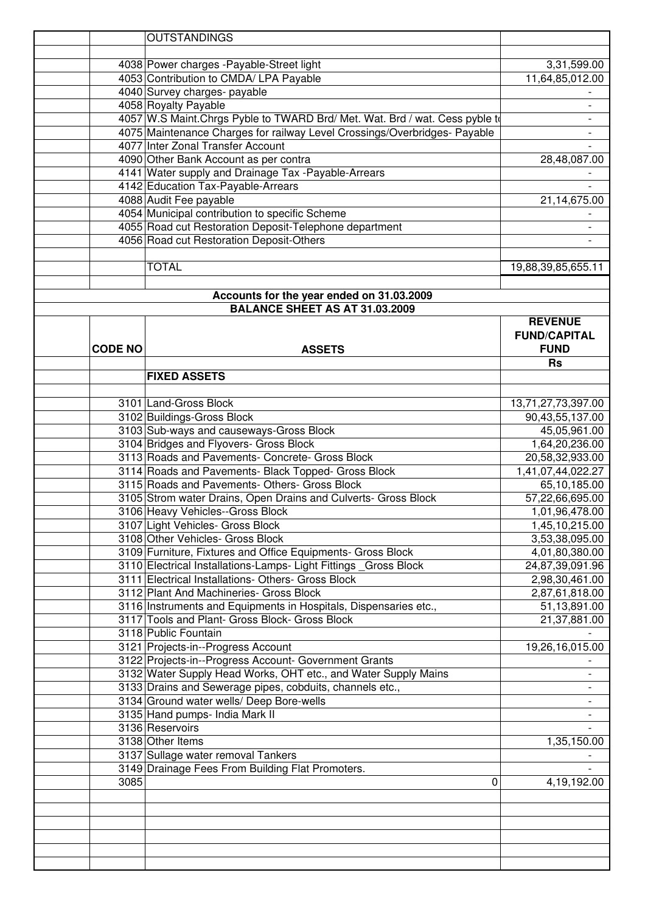|                | <b>OUTSTANDINGS</b>                                                          |                          |
|----------------|------------------------------------------------------------------------------|--------------------------|
|                |                                                                              |                          |
|                | 4038 Power charges - Payable-Street light                                    | 3,31,599.00              |
|                | 4053 Contribution to CMDA/ LPA Payable                                       | 11,64,85,012.00          |
|                | 4040 Survey charges- payable                                                 |                          |
|                | 4058 Royalty Payable                                                         | $\overline{\phantom{a}}$ |
|                | 4057 W.S Maint. Chrgs Pyble to TWARD Brd/ Met. Wat. Brd / wat. Cess pyble to |                          |
|                | 4075 Maintenance Charges for railway Level Crossings/Overbridges- Payable    |                          |
|                | 4077 Inter Zonal Transfer Account                                            |                          |
|                | 4090 Other Bank Account as per contra                                        | 28,48,087.00             |
|                | 4141 Water supply and Drainage Tax - Payable-Arrears                         |                          |
|                | 4142 Education Tax-Payable-Arrears                                           |                          |
|                | 4088 Audit Fee payable                                                       | 21,14,675.00             |
|                | 4054 Municipal contribution to specific Scheme                               |                          |
|                |                                                                              |                          |
|                | 4055 Road cut Restoration Deposit-Telephone department                       |                          |
|                | 4056 Road cut Restoration Deposit-Others                                     |                          |
|                |                                                                              |                          |
|                | <b>TOTAL</b>                                                                 | 19,88,39,85,655.11       |
|                |                                                                              |                          |
|                | Accounts for the year ended on 31.03.2009                                    |                          |
|                | <b>BALANCE SHEET AS AT 31.03.2009</b>                                        |                          |
|                |                                                                              | <b>REVENUE</b>           |
|                |                                                                              | <b>FUND/CAPITAL</b>      |
| <b>CODE NO</b> | <b>ASSETS</b>                                                                | <b>FUND</b>              |
|                |                                                                              | <b>Rs</b>                |
|                | <b>FIXED ASSETS</b>                                                          |                          |
|                |                                                                              |                          |
|                | 3101 Land-Gross Block                                                        | 13,71,27,73,397.00       |
|                | 3102 Buildings-Gross Block                                                   | 90,43,55,137.00          |
|                | 3103 Sub-ways and causeways-Gross Block                                      | 45,05,961.00             |
|                | 3104 Bridges and Flyovers- Gross Block                                       | 1,64,20,236.00           |
|                | 3113 Roads and Pavements- Concrete- Gross Block                              | 20,58,32,933.00          |
|                | 3114 Roads and Pavements- Black Topped- Gross Block                          | 1,41,07,44,022.27        |
|                | 3115 Roads and Pavements- Others- Gross Block                                | 65,10,185.00             |
|                | 3105 Strom water Drains, Open Drains and Culverts- Gross Block               | 57,22,66,695.00          |
|                | 3106 Heavy Vehicles--Gross Block                                             | 1,01,96,478.00           |
|                | 3107 Light Vehicles- Gross Block                                             | 1,45,10,215.00           |
|                | 3108 Other Vehicles- Gross Block                                             | 3,53,38,095.00           |
|                | 3109 Furniture, Fixtures and Office Equipments- Gross Block                  | 4,01,80,380.00           |
|                | 3110 Electrical Installations-Lamps- Light Fittings Gross Block              | 24,87,39,091.96          |
|                | 3111 Electrical Installations- Others- Gross Block                           | 2,98,30,461.00           |
|                | 3112 Plant And Machineries- Gross Block                                      | 2,87,61,818.00           |
|                | 3116 Instruments and Equipments in Hospitals, Dispensaries etc.,             | 51,13,891.00             |
|                | 3117 Tools and Plant- Gross Block- Gross Block                               | 21,37,881.00             |
|                | 3118 Public Fountain                                                         |                          |
|                | 3121 Projects-in--Progress Account                                           | 19,26,16,015.00          |
|                | 3122 Projects-in--Progress Account- Government Grants                        |                          |
|                | 3132 Water Supply Head Works, OHT etc., and Water Supply Mains               |                          |
|                | 3133 Drains and Sewerage pipes, cobduits, channels etc.,                     |                          |
|                | 3134 Ground water wells/ Deep Bore-wells                                     |                          |
|                | 3135 Hand pumps- India Mark II                                               |                          |
|                | 3136 Reservoirs                                                              |                          |
|                | 3138 Other Items                                                             | 1,35,150.00              |
|                | 3137 Sullage water removal Tankers                                           |                          |
|                | 3149 Drainage Fees From Building Flat Promoters.                             |                          |
| 3085           | $\Omega$                                                                     | 4,19,192.00              |
|                |                                                                              |                          |
|                |                                                                              |                          |
|                |                                                                              |                          |
|                |                                                                              |                          |
|                |                                                                              |                          |
|                |                                                                              |                          |
|                |                                                                              |                          |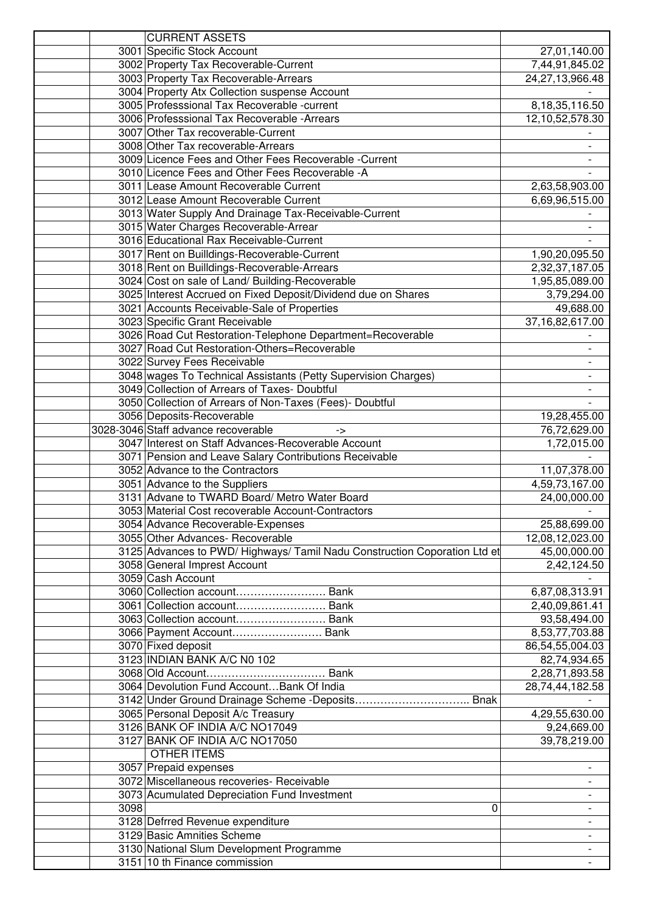|      | <b>CURRENT ASSETS</b>                                                     |                          |
|------|---------------------------------------------------------------------------|--------------------------|
|      | 3001 Specific Stock Account                                               | 27,01,140.00             |
|      | 3002 Property Tax Recoverable-Current                                     | 7,44,91,845.02           |
|      | 3003 Property Tax Recoverable-Arrears                                     | 24,27,13,966.48          |
|      | 3004 Property Atx Collection suspense Account                             |                          |
|      | 3005 Professsional Tax Recoverable -current                               | 8, 18, 35, 116.50        |
|      | 3006 Professsional Tax Recoverable - Arrears                              | 12,10,52,578.30          |
|      | 3007 Other Tax recoverable-Current                                        |                          |
|      | 3008 Other Tax recoverable-Arrears                                        |                          |
|      | 3009 Licence Fees and Other Fees Recoverable -Current                     |                          |
|      | 3010 Licence Fees and Other Fees Recoverable -A                           |                          |
|      | 3011 Lease Amount Recoverable Current                                     | 2,63,58,903.00           |
|      | 3012 Lease Amount Recoverable Current                                     | 6,69,96,515.00           |
|      | 3013 Water Supply And Drainage Tax-Receivable-Current                     |                          |
|      | 3015 Water Charges Recoverable-Arrear                                     |                          |
|      | 3016 Educational Rax Receivable-Current                                   |                          |
|      | 3017 Rent on Builldings-Recoverable-Current                               | 1,90,20,095.50           |
|      | 3018 Rent on Builldings-Recoverable-Arrears                               | 2,32,37,187.05           |
|      | 3024 Cost on sale of Land/ Building-Recoverable                           | 1,95,85,089.00           |
|      | 3025 Interest Accrued on Fixed Deposit/Dividend due on Shares             | 3,79,294.00              |
|      | 3021 Accounts Receivable-Sale of Properties                               | 49,688.00                |
|      | 3023 Specific Grant Receivable                                            | 37,16,82,617.00          |
|      | 3026 Road Cut Restoration-Telephone Department=Recoverable                |                          |
|      | 3027 Road Cut Restoration-Others=Recoverable                              |                          |
|      | 3022 Survey Fees Receivable                                               |                          |
|      | 3048 wages To Technical Assistants (Petty Supervision Charges)            |                          |
|      | 3049 Collection of Arrears of Taxes- Doubtful                             |                          |
|      | 3050 Collection of Arrears of Non-Taxes (Fees)- Doubtful                  |                          |
|      | 3056 Deposits-Recoverable                                                 | 19,28,455.00             |
|      | 3028-3046 Staff advance recoverable<br>->                                 | 76,72,629.00             |
|      | 3047 Interest on Staff Advances-Recoverable Account                       | 1,72,015.00              |
|      | 3071 Pension and Leave Salary Contributions Receivable                    |                          |
|      | 3052 Advance to the Contractors                                           | 11,07,378.00             |
|      | 3051 Advance to the Suppliers                                             | 4,59,73,167.00           |
|      | 3131 Advane to TWARD Board/ Metro Water Board                             | 24,00,000.00             |
|      | 3053 Material Cost recoverable Account-Contractors                        |                          |
|      | 3054 Advance Recoverable-Expenses                                         | 25,88,699.00             |
|      | 3055 Other Advances- Recoverable                                          | 12,08,12,023.00          |
|      | 3125 Advances to PWD/ Highways/ Tamil Nadu Construction Coporation Ltd et | 45,00,000.00             |
|      | 3058 General Imprest Account                                              | 2,42,124.50              |
|      | 3059 Cash Account                                                         |                          |
|      | 3060 Collection account Bank                                              | 6,87,08,313.91           |
|      | 3061 Collection account Bank                                              | 2,40,09,861.41           |
|      | 3063 Collection account Bank                                              | 93,58,494.00             |
|      | 3066 Payment Account Bank                                                 | 8,53,77,703.88           |
|      | 3070 Fixed deposit                                                        | 86,54,55,004.03          |
|      | 3123 INDIAN BANK A/C N0 102                                               | 82,74,934.65             |
|      |                                                                           | 2,28,71,893.58           |
|      | 3064 Devolution Fund Account Bank Of India                                | 28,74,44,182.58          |
|      |                                                                           |                          |
|      | 3065 Personal Deposit A/c Treasury                                        | 4,29,55,630.00           |
|      | 3126 BANK OF INDIA A/C NO17049                                            | 9,24,669.00              |
|      | 3127 BANK OF INDIA A/C NO17050                                            | 39,78,219.00             |
|      | <b>OTHER ITEMS</b>                                                        |                          |
|      | 3057 Prepaid expenses                                                     |                          |
|      | 3072 Miscellaneous recoveries- Receivable                                 |                          |
|      | 3073 Acumulated Depreciation Fund Investment                              |                          |
| 3098 | 0                                                                         | $\overline{\phantom{0}}$ |
|      | 3128 Defrred Revenue expenditure                                          |                          |
|      | 3129 Basic Amnities Scheme                                                |                          |
|      | 3130 National Slum Development Programme                                  |                          |
|      | 3151 10 th Finance commission                                             |                          |
|      |                                                                           |                          |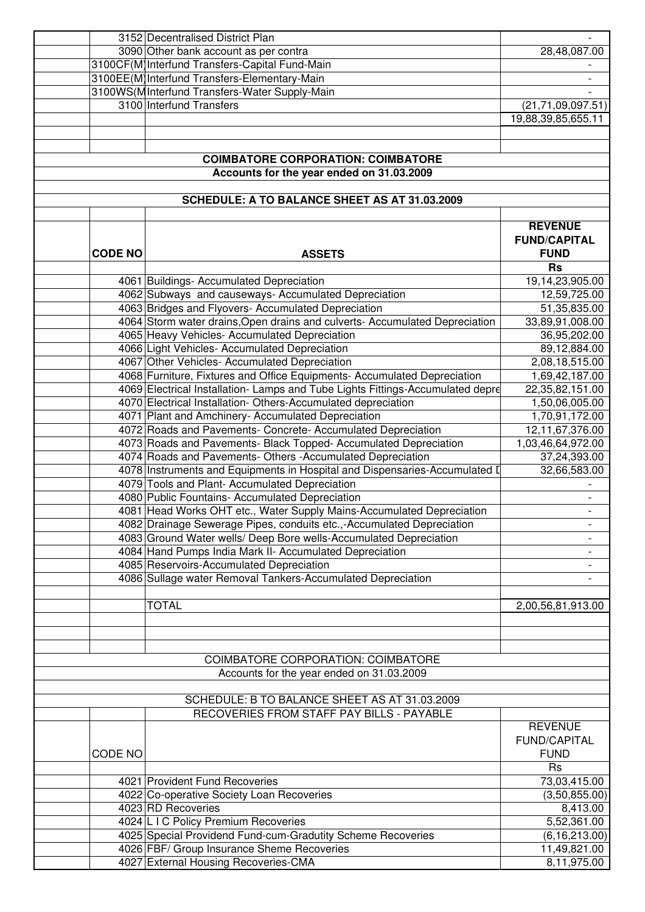|                | 3152 Decentralised District Plan                                               |                      |
|----------------|--------------------------------------------------------------------------------|----------------------|
|                | 3090 Other bank account as per contra                                          | 28,48,087.00         |
|                | 3100CF(M)Interfund Transfers-Capital Fund-Main                                 |                      |
|                | 3100EE(M) Interfund Transfers-Elementary-Main                                  |                      |
|                | 3100WS(MInterfund Transfers-Water Supply-Main                                  |                      |
|                | 3100 Interfund Transfers                                                       | (21, 71, 09, 097.51) |
|                |                                                                                | 19,88,39,85,655.11   |
|                |                                                                                |                      |
|                |                                                                                |                      |
|                | <b>COIMBATORE CORPORATION: COIMBATORE</b>                                      |                      |
|                | Accounts for the year ended on 31.03.2009                                      |                      |
|                |                                                                                |                      |
|                | SCHEDULE: A TO BALANCE SHEET AS AT 31.03.2009                                  |                      |
|                |                                                                                |                      |
|                |                                                                                | <b>REVENUE</b>       |
|                |                                                                                | <b>FUND/CAPITAL</b>  |
| <b>CODE NO</b> | <b>ASSETS</b>                                                                  | <b>FUND</b>          |
|                |                                                                                | <b>Rs</b>            |
|                | 4061 Buildings- Accumulated Depreciation                                       | 19,14,23,905.00      |
|                | 4062 Subways and causeways- Accumulated Depreciation                           | 12,59,725.00         |
|                | 4063 Bridges and Flyovers- Accumulated Depreciation                            | 51,35,835.00         |
|                | 4064 Storm water drains, Open drains and culverts- Accumulated Depreciation    | 33,89,91,008.00      |
|                | 4065 Heavy Vehicles- Accumulated Depreciation                                  | 36,95,202.00         |
|                | 4066 Light Vehicles- Accumulated Depreciation                                  | 89,12,884.00         |
|                | 4067 Other Vehicles- Accumulated Depreciation                                  | 2,08,18,515.00       |
|                | 4068 Furniture, Fixtures and Office Equipments- Accumulated Depreciation       | 1,69,42,187.00       |
|                | 4069 Electrical Installation- Lamps and Tube Lights Fittings-Accumulated depre | 22,35,82,151.00      |
|                | 4070 Electrical Installation- Others-Accumulated depreciation                  | 1,50,06,005.00       |
|                | 4071 Plant and Amchinery- Accumulated Depreciation                             | 1,70,91,172.00       |
|                | 4072 Roads and Pavements- Concrete- Accumulated Depreciation                   |                      |
|                |                                                                                | 12,11,67,376.00      |
|                | 4073 Roads and Pavements- Black Topped- Accumulated Depreciation               | 1,03,46,64,972.00    |
|                | 4074 Roads and Pavements- Others - Accumulated Depreciation                    | 37,24,393.00         |
|                | 4078 Instruments and Equipments in Hospital and Dispensaries-Accumulated I     | 32,66,583.00         |
|                | 4079 Tools and Plant- Accumulated Depreciation                                 |                      |
|                | 4080 Public Fountains- Accumulated Depreciation                                |                      |
|                | 4081 Head Works OHT etc., Water Supply Mains-Accumulated Depreciation          |                      |
|                | 4082 Drainage Sewerage Pipes, conduits etc.,-Accumulated Depreciation          |                      |
|                | 4083 Ground Water wells/ Deep Bore wells-Accumulated Depreciation              |                      |
|                | 4084 Hand Pumps India Mark II- Accumulated Depreciation                        |                      |
|                | 4085 Reservoirs-Accumulated Depreciation                                       |                      |
|                | 4086 Sullage water Removal Tankers-Accumulated Depreciation                    |                      |
|                |                                                                                |                      |
|                | <b>TOTAL</b>                                                                   | 2,00,56,81,913.00    |
|                |                                                                                |                      |
|                |                                                                                |                      |
|                |                                                                                |                      |
|                | <b>COIMBATORE CORPORATION: COIMBATORE</b>                                      |                      |
|                | Accounts for the year ended on 31.03.2009                                      |                      |
|                |                                                                                |                      |
|                | SCHEDULE: B TO BALANCE SHEET AS AT 31.03.2009                                  |                      |
|                | RECOVERIES FROM STAFF PAY BILLS - PAYABLE                                      |                      |
|                |                                                                                | <b>REVENUE</b>       |
|                |                                                                                | <b>FUND/CAPITAL</b>  |
| CODE NO        |                                                                                | <b>FUND</b>          |
|                |                                                                                | <b>Rs</b>            |
|                | 4021 Provident Fund Recoveries                                                 | 73,03,415.00         |
|                | 4022 Co-operative Society Loan Recoveries                                      | (3,50,855.00)        |
|                | 4023 RD Recoveries                                                             | 8,413.00             |
|                | 4024 L I C Policy Premium Recoveries                                           | 5,52,361.00          |
|                | 4025 Special Providend Fund-cum-Gradutity Scheme Recoveries                    | (6, 16, 213.00)      |
|                | 4026 FBF/ Group Insurance Sheme Recoveries                                     | 11,49,821.00         |
|                | 4027 External Housing Recoveries-CMA                                           | 8,11,975.00          |